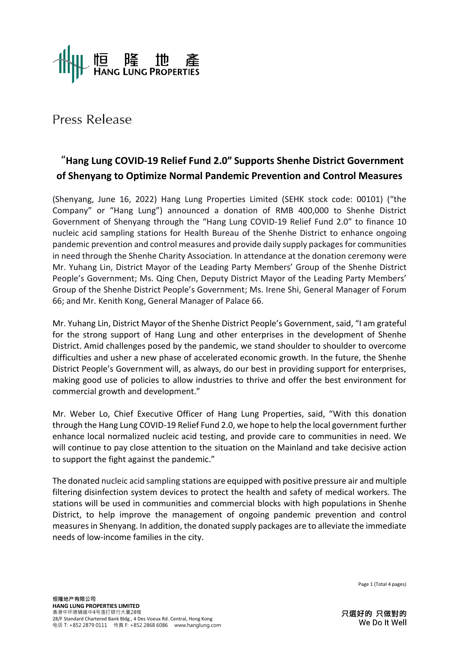

# Press Release

## **"Hang Lung COVID-19 Relief Fund 2.0" Supports Shenhe District Government of Shenyang to Optimize Normal Pandemic Prevention and Control Measures**

(Shenyang, June 16, 2022) Hang Lung Properties Limited (SEHK stock code: 00101) ("the Company" or "Hang Lung") announced a donation of RMB 400,000 to Shenhe District Government of Shenyang through the "Hang Lung COVID-19 Relief Fund 2.0" to finance 10 nucleic acid sampling stations for Health Bureau of the Shenhe District to enhance ongoing pandemic prevention and control measures and provide daily supply packages for communities in need through the Shenhe Charity Association. In attendance at the donation ceremony were Mr. Yuhang Lin, District Mayor of the Leading Party Members' Group of the Shenhe District People's Government; Ms. Qing Chen, Deputy District Mayor of the Leading Party Members' Group of the Shenhe District People's Government; Ms. Irene Shi, General Manager of Forum 66; and Mr. Kenith Kong, General Manager of Palace 66.

Mr. Yuhang Lin, District Mayor of the Shenhe District People's Government, said, "I am grateful for the strong support of Hang Lung and other enterprises in the development of Shenhe District. Amid challenges posed by the pandemic, we stand shoulder to shoulder to overcome difficulties and usher a new phase of accelerated economic growth. In the future, the Shenhe District People's Government will, as always, do our best in providing support for enterprises, making good use of policies to allow industries to thrive and offer the best environment for commercial growth and development."

Mr. Weber Lo, Chief Executive Officer of Hang Lung Properties, said, "With this donation through the Hang Lung COVID-19 Relief Fund 2.0, we hope to help the local government further enhance local normalized nucleic acid testing, and provide care to communities in need. We will continue to pay close attention to the situation on the Mainland and take decisive action to support the fight against the pandemic."

The donated nucleic acid sampling stations are equipped with positive pressure air and multiple filtering disinfection system devices to protect the health and safety of medical workers. The stations will be used in communities and commercial blocks with high populations in Shenhe District, to help improve the management of ongoing pandemic prevention and control measures in Shenyang. In addition, the donated supply packages are to alleviate the immediate needs of low-income families in the city.

Page 1 (Total 4 pages)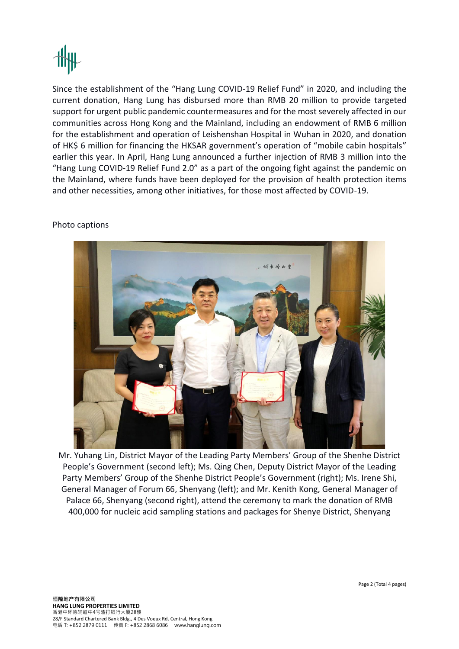Since the establishment of the "Hang Lung COVID-19 Relief Fund" in 2020, and including the current donation, Hang Lung has disbursed more than RMB 20 million to provide targeted support for urgent public pandemic countermeasures and for the most severely affected in our communities across Hong Kong and the Mainland, including an endowment of RMB 6 million for the establishment and operation of Leishenshan Hospital in Wuhan in 2020, and donation of HK\$ 6 million for financing the HKSAR government's operation of "mobile cabin hospitals" earlier this year. In April, Hang Lung announced a further injection of RMB 3 million into the "Hang Lung COVID-19 Relief Fund 2.0" as a part of the ongoing fight against the pandemic on the Mainland, where funds have been deployed for the provision of health protection items and other necessities, among other initiatives, for those most affected by COVID-19.

## Photo captions



Mr. Yuhang Lin, District Mayor of the Leading Party Members' Group of the Shenhe District People's Government (second left); Ms. Qing Chen, Deputy District Mayor of the Leading Party Members' Group of the Shenhe District People's Government (right); Ms. Irene Shi, General Manager of Forum 66, Shenyang (left); and Mr. Kenith Kong, General Manager of Palace 66, Shenyang (second right), attend the ceremony to mark the donation of RMB 400,000 for nucleic acid sampling stations and packages for Shenye District, Shenyang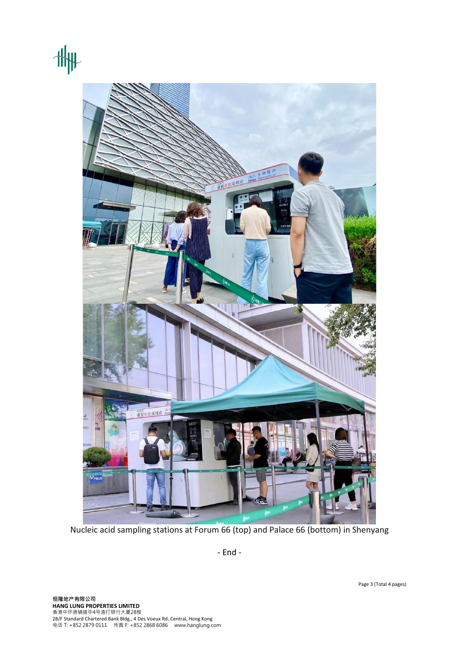



Nucleic acid sampling stations at Forum 66 (top) and Palace 66 (bottom) in Shenyang

- End -